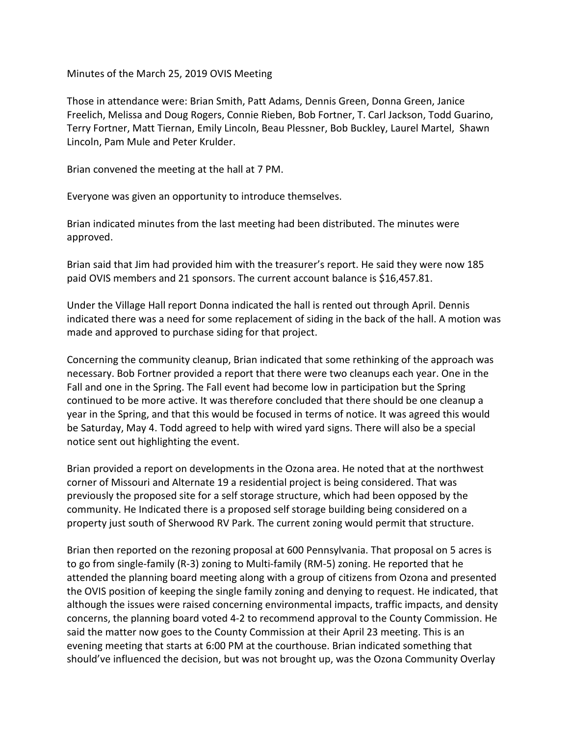Minutes of the March 25, 2019 OVIS Meeting

Those in attendance were: Brian Smith, Patt Adams, Dennis Green, Donna Green, Janice Freelich, Melissa and Doug Rogers, Connie Rieben, Bob Fortner, T. Carl Jackson, Todd Guarino, Terry Fortner, Matt Tiernan, Emily Lincoln, Beau Plessner, Bob Buckley, Laurel Martel, Shawn Lincoln, Pam Mule and Peter Krulder.

Brian convened the meeting at the hall at 7 PM.

Everyone was given an opportunity to introduce themselves.

Brian indicated minutes from the last meeting had been distributed. The minutes were approved.

Brian said that Jim had provided him with the treasurer's report. He said they were now 185 paid OVIS members and 21 sponsors. The current account balance is \$16,457.81.

Under the Village Hall report Donna indicated the hall is rented out through April. Dennis indicated there was a need for some replacement of siding in the back of the hall. A motion was made and approved to purchase siding for that project.

Concerning the community cleanup, Brian indicated that some rethinking of the approach was necessary. Bob Fortner provided a report that there were two cleanups each year. One in the Fall and one in the Spring. The Fall event had become low in participation but the Spring continued to be more active. It was therefore concluded that there should be one cleanup a year in the Spring, and that this would be focused in terms of notice. It was agreed this would be Saturday, May 4. Todd agreed to help with wired yard signs. There will also be a special notice sent out highlighting the event.

Brian provided a report on developments in the Ozona area. He noted that at the northwest corner of Missouri and Alternate 19 a residential project is being considered. That was previously the proposed site for a self storage structure, which had been opposed by the community. He Indicated there is a proposed self storage building being considered on a property just south of Sherwood RV Park. The current zoning would permit that structure.

Brian then reported on the rezoning proposal at 600 Pennsylvania. That proposal on 5 acres is to go from single-family (R-3) zoning to Multi-family (RM-5) zoning. He reported that he attended the planning board meeting along with a group of citizens from Ozona and presented the OVIS position of keeping the single family zoning and denying to request. He indicated, that although the issues were raised concerning environmental impacts, traffic impacts, and density concerns, the planning board voted 4-2 to recommend approval to the County Commission. He said the matter now goes to the County Commission at their April 23 meeting. This is an evening meeting that starts at 6:00 PM at the courthouse. Brian indicated something that should've influenced the decision, but was not brought up, was the Ozona Community Overlay